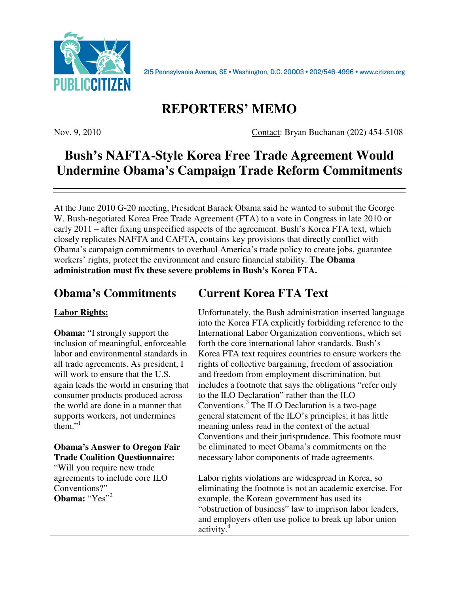

2I5 Pennsylvania Avenue, SE · Washington, D.C. 20003 · 202/546-4996 · www.citizen.org

## **REPORTERS' MEMO**

Nov. 9, 2010 Contact: Bryan Buchanan (202) 454-5108

## **Bush's NAFTA-Style Korea Free Trade Agreement Would Undermine Obama's Campaign Trade Reform Commitments**

At the June 2010 G-20 meeting, President Barack Obama said he wanted to submit the George W. Bush-negotiated Korea Free Trade Agreement (FTA) to a vote in Congress in late 2010 or early 2011 – after fixing unspecified aspects of the agreement. Bush's Korea FTA text, which closely replicates NAFTA and CAFTA, contains key provisions that directly conflict with Obama's campaign commitments to overhaul America's trade policy to create jobs, guarantee workers' rights, protect the environment and ensure financial stability. **The Obama administration must fix these severe problems in Bush's Korea FTA.** 

| <b>Obama's Commitments</b>                                                                                                                                                                                                                                                                                                                                                                                                                                             | <b>Current Korea FTA Text</b>                                                                                                                                                                                                                                                                                                                                                                                                                                                                                                                                                                                                                                                                                                                         |
|------------------------------------------------------------------------------------------------------------------------------------------------------------------------------------------------------------------------------------------------------------------------------------------------------------------------------------------------------------------------------------------------------------------------------------------------------------------------|-------------------------------------------------------------------------------------------------------------------------------------------------------------------------------------------------------------------------------------------------------------------------------------------------------------------------------------------------------------------------------------------------------------------------------------------------------------------------------------------------------------------------------------------------------------------------------------------------------------------------------------------------------------------------------------------------------------------------------------------------------|
| <b>Labor Rights:</b>                                                                                                                                                                                                                                                                                                                                                                                                                                                   | Unfortunately, the Bush administration inserted language<br>into the Korea FTA explicitly forbidding reference to the                                                                                                                                                                                                                                                                                                                                                                                                                                                                                                                                                                                                                                 |
| <b>Obama:</b> "I strongly support the<br>inclusion of meaningful, enforceable<br>labor and environmental standards in<br>all trade agreements. As president, I<br>will work to ensure that the U.S.<br>again leads the world in ensuring that<br>consumer products produced across<br>the world are done in a manner that<br>supports workers, not undermines<br>them." $\frac{1}{2}$<br><b>Obama's Answer to Oregon Fair</b><br><b>Trade Coalition Questionnaire:</b> | International Labor Organization conventions, which set<br>forth the core international labor standards. Bush's<br>Korea FTA text requires countries to ensure workers the<br>rights of collective bargaining, freedom of association<br>and freedom from employment discrimination, but<br>includes a footnote that says the obligations "refer only<br>to the ILO Declaration" rather than the ILO<br>Conventions. <sup>3</sup> The ILO Declaration is a two-page<br>general statement of the ILO's principles; it has little<br>meaning unless read in the context of the actual<br>Conventions and their jurisprudence. This footnote must<br>be eliminated to meet Obama's commitments on the<br>necessary labor components of trade agreements. |
| "Will you require new trade"                                                                                                                                                                                                                                                                                                                                                                                                                                           |                                                                                                                                                                                                                                                                                                                                                                                                                                                                                                                                                                                                                                                                                                                                                       |
| agreements to include core ILO<br>Conventions?"<br>Obama: " $Yes$ "                                                                                                                                                                                                                                                                                                                                                                                                    | Labor rights violations are widespread in Korea, so<br>eliminating the footnote is not an academic exercise. For<br>example, the Korean government has used its<br>"obstruction of business" law to imprison labor leaders,<br>and employers often use police to break up labor union<br>activity. <sup>4</sup>                                                                                                                                                                                                                                                                                                                                                                                                                                       |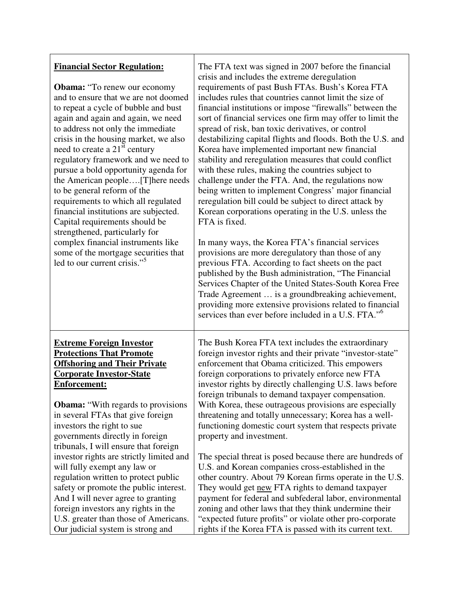| <b>Financial Sector Regulation:</b><br><b>Obama:</b> "To renew our economy<br>and to ensure that we are not doomed<br>to repeat a cycle of bubble and bust<br>again and again and again, we need<br>to address not only the immediate<br>crisis in the housing market, we also<br>need to create a 21 <sup>st</sup> century<br>regulatory framework and we need to<br>pursue a bold opportunity agenda for<br>the American people[T]here needs<br>to be general reform of the<br>requirements to which all regulated<br>financial institutions are subjected.<br>Capital requirements should be<br>strengthened, particularly for<br>complex financial instruments like<br>some of the mortgage securities that<br>led to our current crisis." <sup>5</sup> | The FTA text was signed in 2007 before the financial<br>crisis and includes the extreme deregulation<br>requirements of past Bush FTAs. Bush's Korea FTA<br>includes rules that countries cannot limit the size of<br>financial institutions or impose "firewalls" between the<br>sort of financial services one firm may offer to limit the<br>spread of risk, ban toxic derivatives, or control<br>destabilizing capital flights and floods. Both the U.S. and<br>Korea have implemented important new financial<br>stability and reregulation measures that could conflict<br>with these rules, making the countries subject to<br>challenge under the FTA. And, the regulations now<br>being written to implement Congress' major financial<br>reregulation bill could be subject to direct attack by<br>Korean corporations operating in the U.S. unless the<br>FTA is fixed.<br>In many ways, the Korea FTA's financial services<br>provisions are more deregulatory than those of any<br>previous FTA. According to fact sheets on the pact<br>published by the Bush administration, "The Financial<br>Services Chapter of the United States-South Korea Free<br>Trade Agreement  is a groundbreaking achievement,<br>providing more extensive provisions related to financial<br>services than ever before included in a U.S. FTA." <sup>6</sup> |
|-------------------------------------------------------------------------------------------------------------------------------------------------------------------------------------------------------------------------------------------------------------------------------------------------------------------------------------------------------------------------------------------------------------------------------------------------------------------------------------------------------------------------------------------------------------------------------------------------------------------------------------------------------------------------------------------------------------------------------------------------------------|----------------------------------------------------------------------------------------------------------------------------------------------------------------------------------------------------------------------------------------------------------------------------------------------------------------------------------------------------------------------------------------------------------------------------------------------------------------------------------------------------------------------------------------------------------------------------------------------------------------------------------------------------------------------------------------------------------------------------------------------------------------------------------------------------------------------------------------------------------------------------------------------------------------------------------------------------------------------------------------------------------------------------------------------------------------------------------------------------------------------------------------------------------------------------------------------------------------------------------------------------------------------------------------------------------------------------------------------------------|
| <b>Extreme Foreign Investor</b>                                                                                                                                                                                                                                                                                                                                                                                                                                                                                                                                                                                                                                                                                                                             | The Bush Korea FTA text includes the extraordinary                                                                                                                                                                                                                                                                                                                                                                                                                                                                                                                                                                                                                                                                                                                                                                                                                                                                                                                                                                                                                                                                                                                                                                                                                                                                                                       |
| <b>Protections That Promote</b>                                                                                                                                                                                                                                                                                                                                                                                                                                                                                                                                                                                                                                                                                                                             | foreign investor rights and their private "investor-state"                                                                                                                                                                                                                                                                                                                                                                                                                                                                                                                                                                                                                                                                                                                                                                                                                                                                                                                                                                                                                                                                                                                                                                                                                                                                                               |
| <b>Offshoring and Their Private</b>                                                                                                                                                                                                                                                                                                                                                                                                                                                                                                                                                                                                                                                                                                                         | enforcement that Obama criticized. This empowers                                                                                                                                                                                                                                                                                                                                                                                                                                                                                                                                                                                                                                                                                                                                                                                                                                                                                                                                                                                                                                                                                                                                                                                                                                                                                                         |
| <b>Corporate Investor-State</b>                                                                                                                                                                                                                                                                                                                                                                                                                                                                                                                                                                                                                                                                                                                             | foreign corporations to privately enforce new FTA                                                                                                                                                                                                                                                                                                                                                                                                                                                                                                                                                                                                                                                                                                                                                                                                                                                                                                                                                                                                                                                                                                                                                                                                                                                                                                        |
| <b>Enforcement:</b>                                                                                                                                                                                                                                                                                                                                                                                                                                                                                                                                                                                                                                                                                                                                         | investor rights by directly challenging U.S. laws before                                                                                                                                                                                                                                                                                                                                                                                                                                                                                                                                                                                                                                                                                                                                                                                                                                                                                                                                                                                                                                                                                                                                                                                                                                                                                                 |
| <b>Obama:</b> "With regards to provisions"                                                                                                                                                                                                                                                                                                                                                                                                                                                                                                                                                                                                                                                                                                                  | foreign tribunals to demand taxpayer compensation.                                                                                                                                                                                                                                                                                                                                                                                                                                                                                                                                                                                                                                                                                                                                                                                                                                                                                                                                                                                                                                                                                                                                                                                                                                                                                                       |
| in several FTAs that give foreign                                                                                                                                                                                                                                                                                                                                                                                                                                                                                                                                                                                                                                                                                                                           | With Korea, these outrageous provisions are especially                                                                                                                                                                                                                                                                                                                                                                                                                                                                                                                                                                                                                                                                                                                                                                                                                                                                                                                                                                                                                                                                                                                                                                                                                                                                                                   |
| investors the right to sue                                                                                                                                                                                                                                                                                                                                                                                                                                                                                                                                                                                                                                                                                                                                  | threatening and totally unnecessary; Korea has a well-                                                                                                                                                                                                                                                                                                                                                                                                                                                                                                                                                                                                                                                                                                                                                                                                                                                                                                                                                                                                                                                                                                                                                                                                                                                                                                   |
| governments directly in foreign                                                                                                                                                                                                                                                                                                                                                                                                                                                                                                                                                                                                                                                                                                                             | functioning domestic court system that respects private                                                                                                                                                                                                                                                                                                                                                                                                                                                                                                                                                                                                                                                                                                                                                                                                                                                                                                                                                                                                                                                                                                                                                                                                                                                                                                  |
| tribunals, I will ensure that foreign                                                                                                                                                                                                                                                                                                                                                                                                                                                                                                                                                                                                                                                                                                                       | property and investment.                                                                                                                                                                                                                                                                                                                                                                                                                                                                                                                                                                                                                                                                                                                                                                                                                                                                                                                                                                                                                                                                                                                                                                                                                                                                                                                                 |
| investor rights are strictly limited and                                                                                                                                                                                                                                                                                                                                                                                                                                                                                                                                                                                                                                                                                                                    | The special threat is posed because there are hundreds of                                                                                                                                                                                                                                                                                                                                                                                                                                                                                                                                                                                                                                                                                                                                                                                                                                                                                                                                                                                                                                                                                                                                                                                                                                                                                                |
| will fully exempt any law or                                                                                                                                                                                                                                                                                                                                                                                                                                                                                                                                                                                                                                                                                                                                | U.S. and Korean companies cross-established in the                                                                                                                                                                                                                                                                                                                                                                                                                                                                                                                                                                                                                                                                                                                                                                                                                                                                                                                                                                                                                                                                                                                                                                                                                                                                                                       |
| regulation written to protect public                                                                                                                                                                                                                                                                                                                                                                                                                                                                                                                                                                                                                                                                                                                        | other country. About 79 Korean firms operate in the U.S.                                                                                                                                                                                                                                                                                                                                                                                                                                                                                                                                                                                                                                                                                                                                                                                                                                                                                                                                                                                                                                                                                                                                                                                                                                                                                                 |
| safety or promote the public interest.                                                                                                                                                                                                                                                                                                                                                                                                                                                                                                                                                                                                                                                                                                                      | They would get new FTA rights to demand taxpayer                                                                                                                                                                                                                                                                                                                                                                                                                                                                                                                                                                                                                                                                                                                                                                                                                                                                                                                                                                                                                                                                                                                                                                                                                                                                                                         |
| And I will never agree to granting                                                                                                                                                                                                                                                                                                                                                                                                                                                                                                                                                                                                                                                                                                                          | payment for federal and subfederal labor, environmental                                                                                                                                                                                                                                                                                                                                                                                                                                                                                                                                                                                                                                                                                                                                                                                                                                                                                                                                                                                                                                                                                                                                                                                                                                                                                                  |
| foreign investors any rights in the                                                                                                                                                                                                                                                                                                                                                                                                                                                                                                                                                                                                                                                                                                                         | zoning and other laws that they think undermine their                                                                                                                                                                                                                                                                                                                                                                                                                                                                                                                                                                                                                                                                                                                                                                                                                                                                                                                                                                                                                                                                                                                                                                                                                                                                                                    |
| U.S. greater than those of Americans.                                                                                                                                                                                                                                                                                                                                                                                                                                                                                                                                                                                                                                                                                                                       | "expected future profits" or violate other pro-corporate                                                                                                                                                                                                                                                                                                                                                                                                                                                                                                                                                                                                                                                                                                                                                                                                                                                                                                                                                                                                                                                                                                                                                                                                                                                                                                 |
| Our judicial system is strong and                                                                                                                                                                                                                                                                                                                                                                                                                                                                                                                                                                                                                                                                                                                           | rights if the Korea FTA is passed with its current text.                                                                                                                                                                                                                                                                                                                                                                                                                                                                                                                                                                                                                                                                                                                                                                                                                                                                                                                                                                                                                                                                                                                                                                                                                                                                                                 |